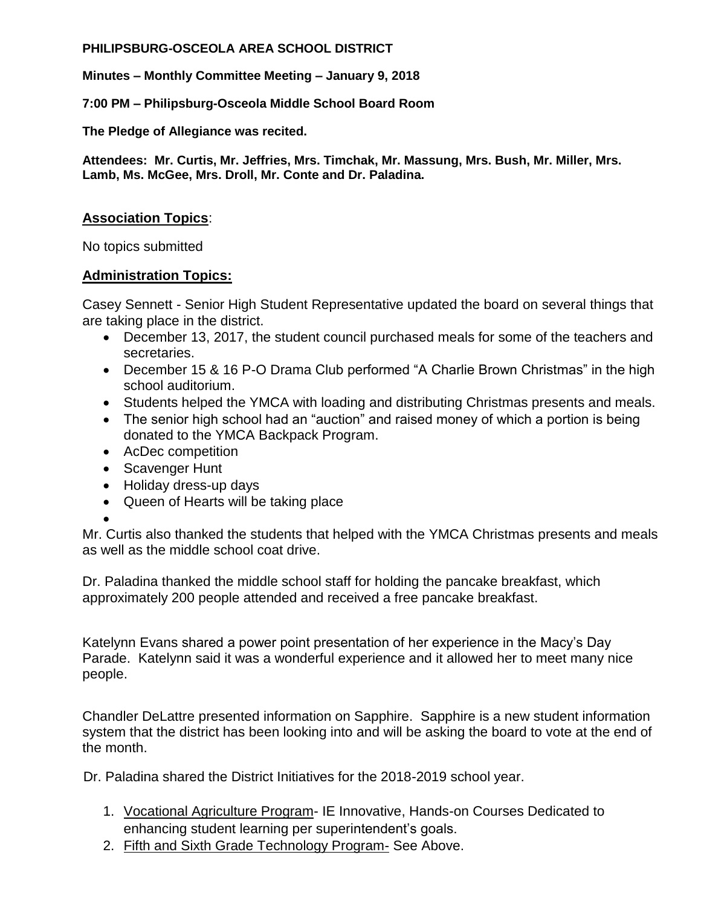#### **PHILIPSBURG-OSCEOLA AREA SCHOOL DISTRICT**

**Minutes – Monthly Committee Meeting – January 9, 2018**

**7:00 PM – Philipsburg-Osceola Middle School Board Room**

**The Pledge of Allegiance was recited.**

**Attendees: Mr. Curtis, Mr. Jeffries, Mrs. Timchak, Mr. Massung, Mrs. Bush, Mr. Miller, Mrs. Lamb, Ms. McGee, Mrs. Droll, Mr. Conte and Dr. Paladina.**

# **Association Topics**:

No topics submitted

## **Administration Topics:**

Casey Sennett - Senior High Student Representative updated the board on several things that are taking place in the district.

- December 13, 2017, the student council purchased meals for some of the teachers and secretaries.
- December 15 & 16 P-O Drama Club performed "A Charlie Brown Christmas" in the high school auditorium.
- Students helped the YMCA with loading and distributing Christmas presents and meals.
- The senior high school had an "auction" and raised money of which a portion is being donated to the YMCA Backpack Program.
- AcDec competition
- Scavenger Hunt
- Holiday dress-up days
- Queen of Hearts will be taking place
- $\bullet$

Mr. Curtis also thanked the students that helped with the YMCA Christmas presents and meals as well as the middle school coat drive.

Dr. Paladina thanked the middle school staff for holding the pancake breakfast, which approximately 200 people attended and received a free pancake breakfast.

Katelynn Evans shared a power point presentation of her experience in the Macy's Day Parade. Katelynn said it was a wonderful experience and it allowed her to meet many nice people.

Chandler DeLattre presented information on Sapphire. Sapphire is a new student information system that the district has been looking into and will be asking the board to vote at the end of the month.

Dr. Paladina shared the District Initiatives for the 2018-2019 school year.

- 1. Vocational Agriculture Program- IE Innovative, Hands-on Courses Dedicated to enhancing student learning per superintendent's goals.
- 2. Fifth and Sixth Grade Technology Program- See Above.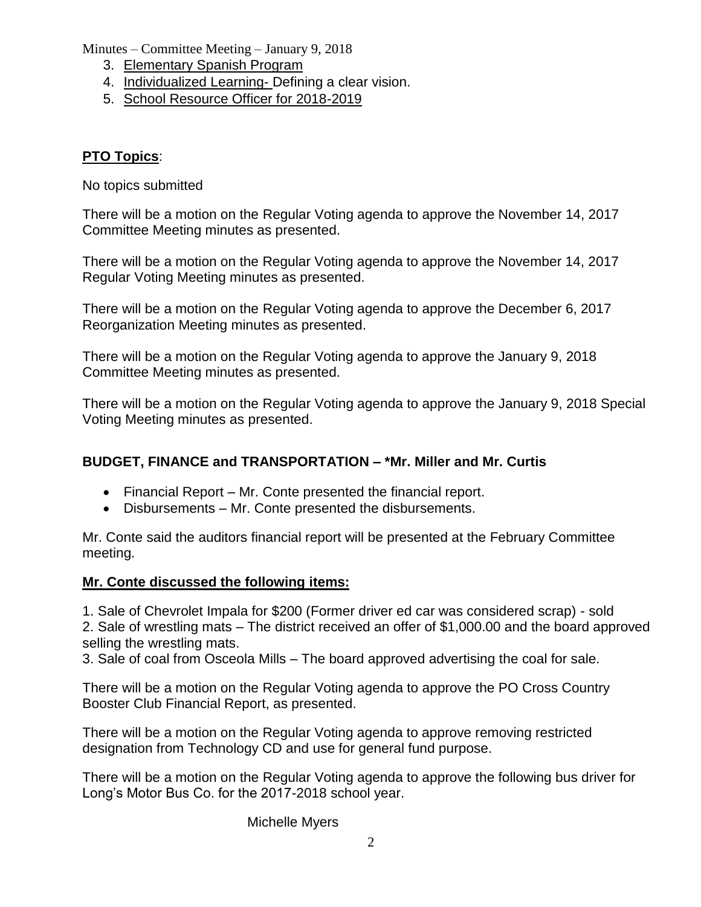Minutes – Committee Meeting – January 9, 2018

- 3. Elementary Spanish Program
- 4. Individualized Learning- Defining a clear vision.
- 5. School Resource Officer for 2018-2019

# **PTO Topics**:

No topics submitted

There will be a motion on the Regular Voting agenda to approve the November 14, 2017 Committee Meeting minutes as presented.

There will be a motion on the Regular Voting agenda to approve the November 14, 2017 Regular Voting Meeting minutes as presented.

There will be a motion on the Regular Voting agenda to approve the December 6, 2017 Reorganization Meeting minutes as presented.

There will be a motion on the Regular Voting agenda to approve the January 9, 2018 Committee Meeting minutes as presented.

There will be a motion on the Regular Voting agenda to approve the January 9, 2018 Special Voting Meeting minutes as presented.

# **BUDGET, FINANCE and TRANSPORTATION – \*Mr. Miller and Mr. Curtis**

- Financial Report Mr. Conte presented the financial report.
- Disbursements Mr. Conte presented the disbursements.

Mr. Conte said the auditors financial report will be presented at the February Committee meeting.

# **Mr. Conte discussed the following items:**

1. Sale of Chevrolet Impala for \$200 (Former driver ed car was considered scrap) - sold 2. Sale of wrestling mats – The district received an offer of \$1,000.00 and the board approved selling the wrestling mats.

3. Sale of coal from Osceola Mills – The board approved advertising the coal for sale.

There will be a motion on the Regular Voting agenda to approve the PO Cross Country Booster Club Financial Report, as presented.

There will be a motion on the Regular Voting agenda to approve removing restricted designation from Technology CD and use for general fund purpose.

There will be a motion on the Regular Voting agenda to approve the following bus driver for Long's Motor Bus Co. for the 2017-2018 school year.

Michelle Myers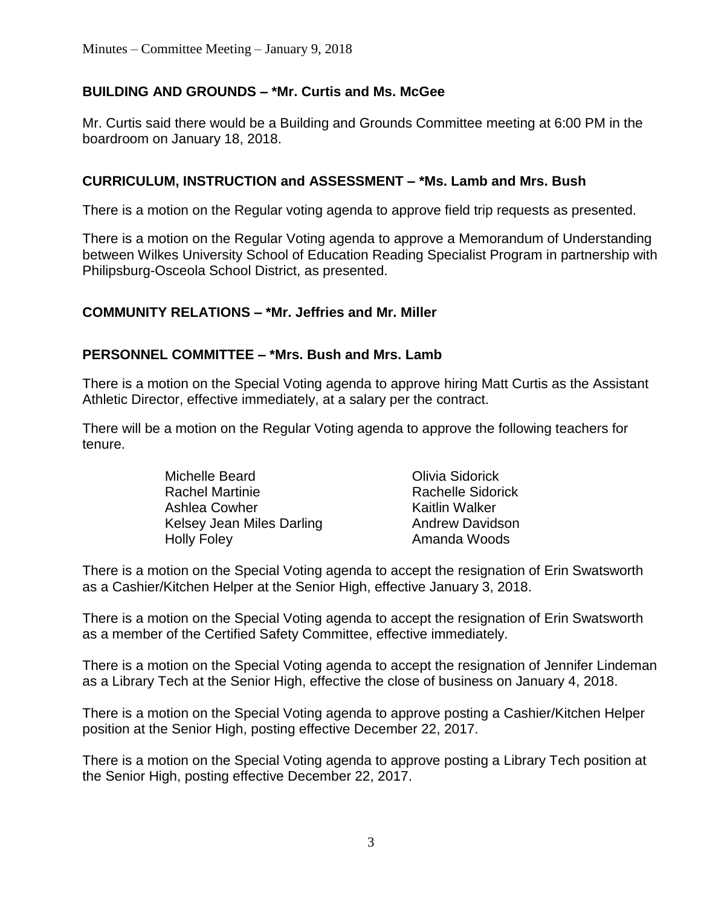# **BUILDING AND GROUNDS – \*Mr. Curtis and Ms. McGee**

Mr. Curtis said there would be a Building and Grounds Committee meeting at 6:00 PM in the boardroom on January 18, 2018.

# **CURRICULUM, INSTRUCTION and ASSESSMENT – \*Ms. Lamb and Mrs. Bush**

There is a motion on the Regular voting agenda to approve field trip requests as presented.

There is a motion on the Regular Voting agenda to approve a Memorandum of Understanding between Wilkes University School of Education Reading Specialist Program in partnership with Philipsburg-Osceola School District, as presented.

## **COMMUNITY RELATIONS – \*Mr. Jeffries and Mr. Miller**

## **PERSONNEL COMMITTEE – \*Mrs. Bush and Mrs. Lamb**

There is a motion on the Special Voting agenda to approve hiring Matt Curtis as the Assistant Athletic Director, effective immediately, at a salary per the contract.

There will be a motion on the Regular Voting agenda to approve the following teachers for tenure.

| Michelle Beard            | Olivia Sidorick          |
|---------------------------|--------------------------|
| <b>Rachel Martinie</b>    | <b>Rachelle Sidorick</b> |
| Ashlea Cowher             | Kaitlin Walker           |
| Kelsey Jean Miles Darling | <b>Andrew Davidson</b>   |
| <b>Holly Foley</b>        | Amanda Woods             |

There is a motion on the Special Voting agenda to accept the resignation of Erin Swatsworth as a Cashier/Kitchen Helper at the Senior High, effective January 3, 2018.

There is a motion on the Special Voting agenda to accept the resignation of Erin Swatsworth as a member of the Certified Safety Committee, effective immediately.

There is a motion on the Special Voting agenda to accept the resignation of Jennifer Lindeman as a Library Tech at the Senior High, effective the close of business on January 4, 2018.

There is a motion on the Special Voting agenda to approve posting a Cashier/Kitchen Helper position at the Senior High, posting effective December 22, 2017.

There is a motion on the Special Voting agenda to approve posting a Library Tech position at the Senior High, posting effective December 22, 2017.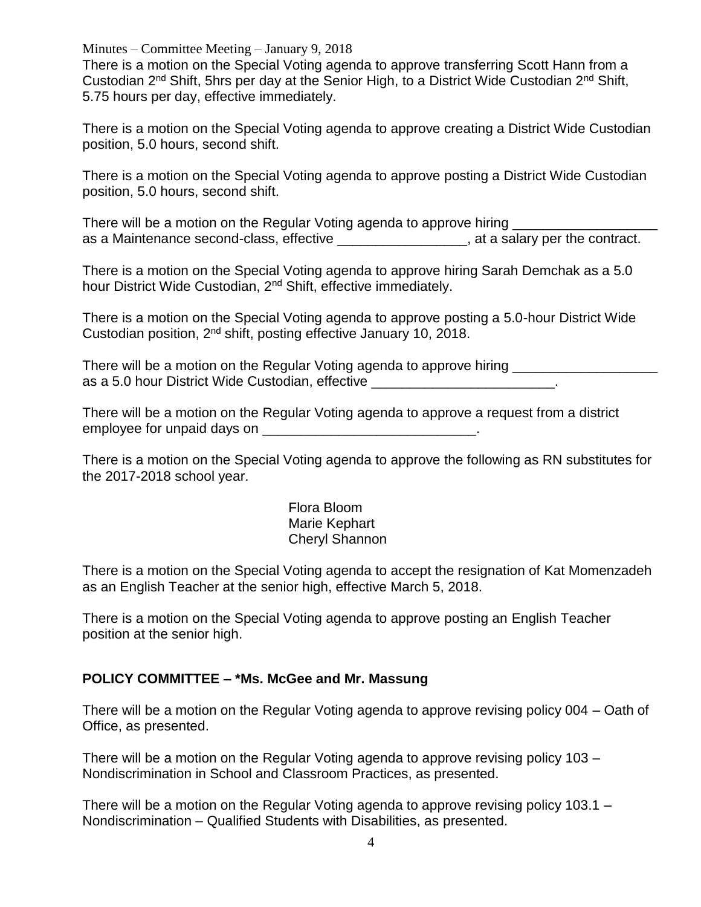Minutes – Committee Meeting – January 9, 2018

There is a motion on the Special Voting agenda to approve transferring Scott Hann from a Custodian 2nd Shift, 5hrs per day at the Senior High, to a District Wide Custodian 2nd Shift, 5.75 hours per day, effective immediately.

There is a motion on the Special Voting agenda to approve creating a District Wide Custodian position, 5.0 hours, second shift.

There is a motion on the Special Voting agenda to approve posting a District Wide Custodian position, 5.0 hours, second shift.

There will be a motion on the Regular Voting agenda to approve hiring as a Maintenance second-class, effective \_\_\_\_\_\_\_\_\_\_\_\_\_\_\_\_\_, at a salary per the contract.

There is a motion on the Special Voting agenda to approve hiring Sarah Demchak as a 5.0 hour District Wide Custodian, 2<sup>nd</sup> Shift, effective immediately.

There is a motion on the Special Voting agenda to approve posting a 5.0-hour District Wide Custodian position, 2nd shift, posting effective January 10, 2018.

There will be a motion on the Regular Voting agenda to approve hiring as a 5.0 hour District Wide Custodian, effective **with an article of the contract of the contract of the contract** 

There will be a motion on the Regular Voting agenda to approve a request from a district employee for unpaid days on \_\_\_\_\_\_\_\_\_\_\_\_\_\_\_\_\_\_\_\_\_\_\_\_\_\_\_\_\_\_\_\_.

There is a motion on the Special Voting agenda to approve the following as RN substitutes for the 2017-2018 school year.

> Flora Bloom Marie Kephart Cheryl Shannon

There is a motion on the Special Voting agenda to accept the resignation of Kat Momenzadeh as an English Teacher at the senior high, effective March 5, 2018.

There is a motion on the Special Voting agenda to approve posting an English Teacher position at the senior high.

## **POLICY COMMITTEE – \*Ms. McGee and Mr. Massung**

There will be a motion on the Regular Voting agenda to approve revising policy 004 – Oath of Office, as presented.

There will be a motion on the Regular Voting agenda to approve revising policy 103 – Nondiscrimination in School and Classroom Practices, as presented.

There will be a motion on the Regular Voting agenda to approve revising policy 103.1 – Nondiscrimination – Qualified Students with Disabilities, as presented.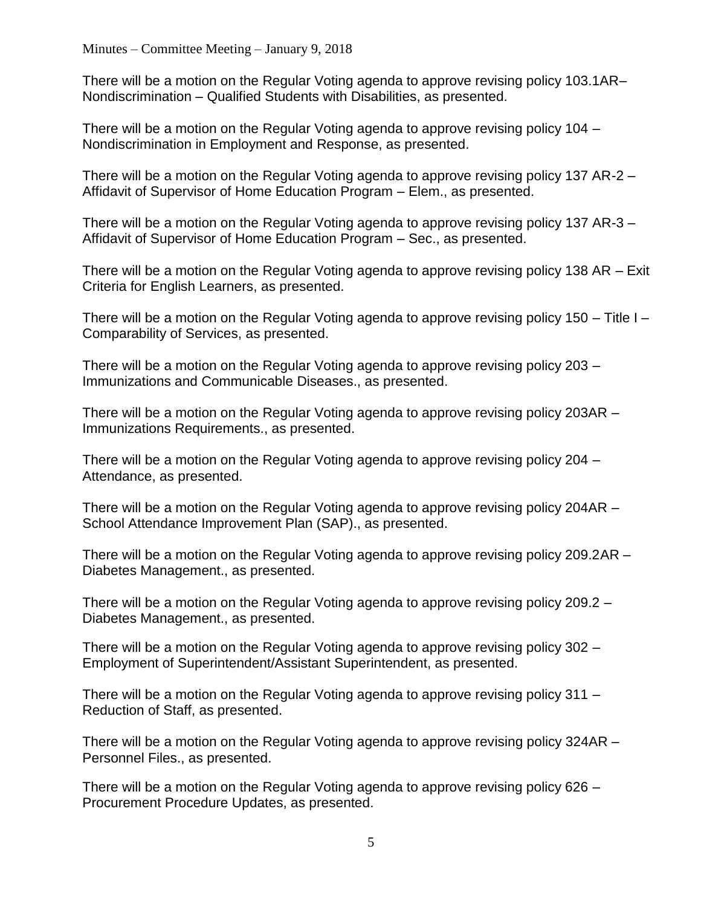There will be a motion on the Regular Voting agenda to approve revising policy 103.1AR– Nondiscrimination – Qualified Students with Disabilities, as presented.

There will be a motion on the Regular Voting agenda to approve revising policy 104 – Nondiscrimination in Employment and Response, as presented.

There will be a motion on the Regular Voting agenda to approve revising policy 137 AR-2 – Affidavit of Supervisor of Home Education Program – Elem., as presented.

There will be a motion on the Regular Voting agenda to approve revising policy 137 AR-3 – Affidavit of Supervisor of Home Education Program – Sec., as presented.

There will be a motion on the Regular Voting agenda to approve revising policy 138 AR – Exit Criteria for English Learners, as presented.

There will be a motion on the Regular Voting agenda to approve revising policy 150 – Title I – Comparability of Services, as presented.

There will be a motion on the Regular Voting agenda to approve revising policy 203 – Immunizations and Communicable Diseases., as presented.

There will be a motion on the Regular Voting agenda to approve revising policy 203AR – Immunizations Requirements., as presented.

There will be a motion on the Regular Voting agenda to approve revising policy 204 – Attendance, as presented.

There will be a motion on the Regular Voting agenda to approve revising policy 204AR – School Attendance Improvement Plan (SAP)., as presented.

There will be a motion on the Regular Voting agenda to approve revising policy 209.2AR – Diabetes Management., as presented.

There will be a motion on the Regular Voting agenda to approve revising policy 209.2 – Diabetes Management., as presented.

There will be a motion on the Regular Voting agenda to approve revising policy 302 – Employment of Superintendent/Assistant Superintendent, as presented.

There will be a motion on the Regular Voting agenda to approve revising policy 311 – Reduction of Staff, as presented.

There will be a motion on the Regular Voting agenda to approve revising policy 324AR – Personnel Files., as presented.

There will be a motion on the Regular Voting agenda to approve revising policy 626 – Procurement Procedure Updates, as presented.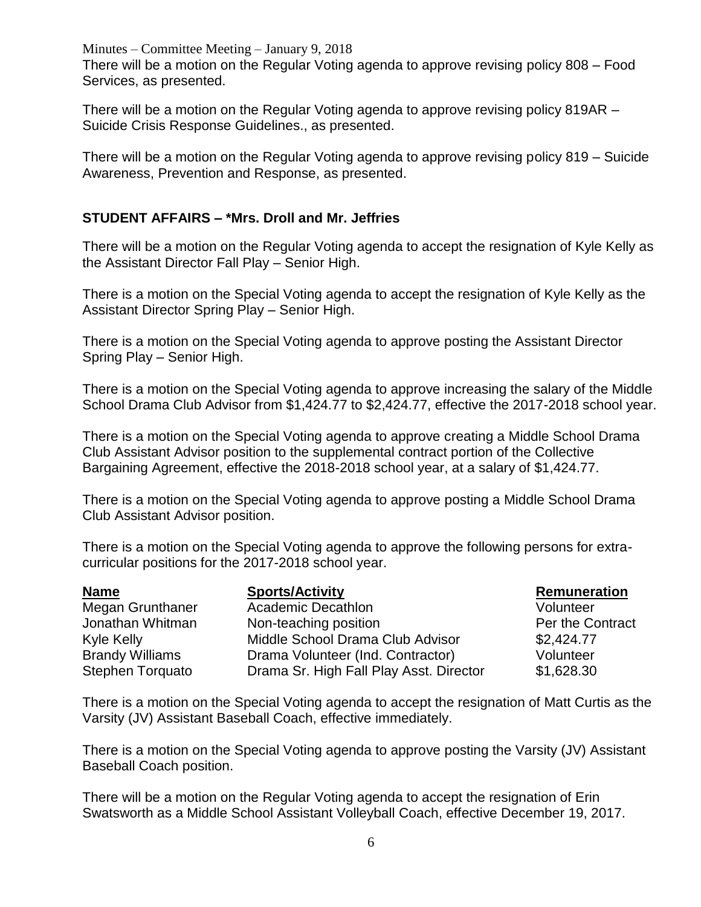Minutes – Committee Meeting – January 9, 2018 There will be a motion on the Regular Voting agenda to approve revising policy 808 – Food Services, as presented.

There will be a motion on the Regular Voting agenda to approve revising policy 819AR – Suicide Crisis Response Guidelines., as presented.

There will be a motion on the Regular Voting agenda to approve revising policy 819 – Suicide Awareness, Prevention and Response, as presented.

# **STUDENT AFFAIRS – \*Mrs. Droll and Mr. Jeffries**

There will be a motion on the Regular Voting agenda to accept the resignation of Kyle Kelly as the Assistant Director Fall Play – Senior High.

There is a motion on the Special Voting agenda to accept the resignation of Kyle Kelly as the Assistant Director Spring Play – Senior High.

There is a motion on the Special Voting agenda to approve posting the Assistant Director Spring Play – Senior High.

There is a motion on the Special Voting agenda to approve increasing the salary of the Middle School Drama Club Advisor from \$1,424.77 to \$2,424.77, effective the 2017-2018 school year.

There is a motion on the Special Voting agenda to approve creating a Middle School Drama Club Assistant Advisor position to the supplemental contract portion of the Collective Bargaining Agreement, effective the 2018-2018 school year, at a salary of \$1,424.77.

There is a motion on the Special Voting agenda to approve posting a Middle School Drama Club Assistant Advisor position.

There is a motion on the Special Voting agenda to approve the following persons for extracurricular positions for the 2017-2018 school year.

| <b>Name</b>             | <b>Sports/Activity</b>                  | Remuneration     |
|-------------------------|-----------------------------------------|------------------|
| Megan Grunthaner        | <b>Academic Decathlon</b>               | Volunteer        |
| Jonathan Whitman        | Non-teaching position                   | Per the Contract |
| Kyle Kelly              | Middle School Drama Club Advisor        | \$2,424.77       |
| <b>Brandy Williams</b>  | Drama Volunteer (Ind. Contractor)       | Volunteer        |
| <b>Stephen Torquato</b> | Drama Sr. High Fall Play Asst. Director | \$1,628.30       |

There is a motion on the Special Voting agenda to accept the resignation of Matt Curtis as the Varsity (JV) Assistant Baseball Coach, effective immediately.

There is a motion on the Special Voting agenda to approve posting the Varsity (JV) Assistant Baseball Coach position.

There will be a motion on the Regular Voting agenda to accept the resignation of Erin Swatsworth as a Middle School Assistant Volleyball Coach, effective December 19, 2017.